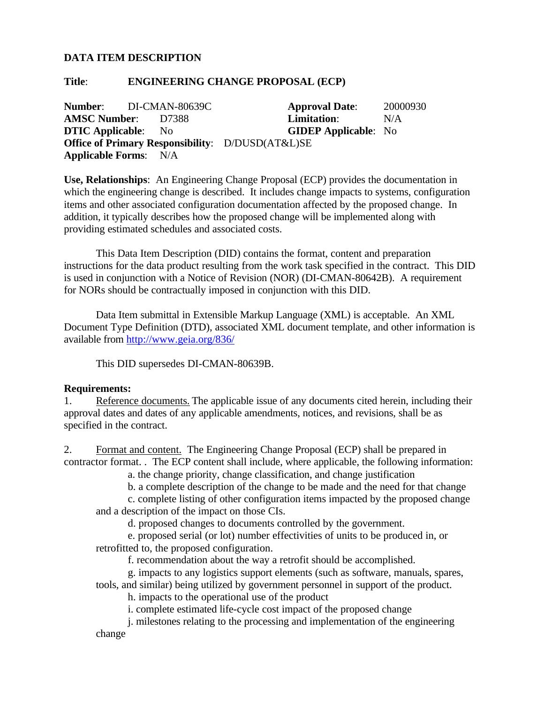## **DATA ITEM DESCRIPTION**

## **Title**: **ENGINEERING CHANGE PROPOSAL (ECP)**

**Number**: DI-CMAN-80639C **Approval Date**: 20000930 **AMSC Number**: D7388 **Limitation**: N/A **DTIC Applicable**: No **GIDEP Applicable**: No **Office of Primary Responsibility**: D/DUSD(AT&L)SE **Applicable Forms**: N/A

**Use, Relationships**: An Engineering Change Proposal (ECP) provides the documentation in which the engineering change is described. It includes change impacts to systems, configuration items and other associated configuration documentation affected by the proposed change. In addition, it typically describes how the proposed change will be implemented along with providing estimated schedules and associated costs.

This Data Item Description (DID) contains the format, content and preparation instructions for the data product resulting from the work task specified in the contract. This DID is used in conjunction with a Notice of Revision (NOR) (DI-CMAN-80642B). A requirement for NORs should be contractually imposed in conjunction with this DID.

Data Item submittal in Extensible Markup Language (XML) is acceptable. An XML Document Type Definition (DTD), associated XML document template, and other information is available from http://www.geia.org/836/

This DID supersedes DI-CMAN-80639B.

## **Requirements:**

1. Reference documents. The applicable issue of any documents cited herein, including their approval dates and dates of any applicable amendments, notices, and revisions, shall be as specified in the contract.

2. Format and content. The Engineering Change Proposal (ECP) shall be prepared in contractor format. . The ECP content shall include, where applicable, the following information:

a. the change priority, change classification, and change justification

b. a complete description of the change to be made and the need for that change

c. complete listing of other configuration items impacted by the proposed change and a description of the impact on those CIs.

d. proposed changes to documents controlled by the government.

e. proposed serial (or lot) number effectivities of units to be produced in, or retrofitted to, the proposed configuration.

f. recommendation about the way a retrofit should be accomplished.

g. impacts to any logistics support elements (such as software, manuals, spares, tools, and similar) being utilized by government personnel in support of the product.

h. impacts to the operational use of the product

i. complete estimated life-cycle cost impact of the proposed change

j. milestones relating to the processing and implementation of the engineering change